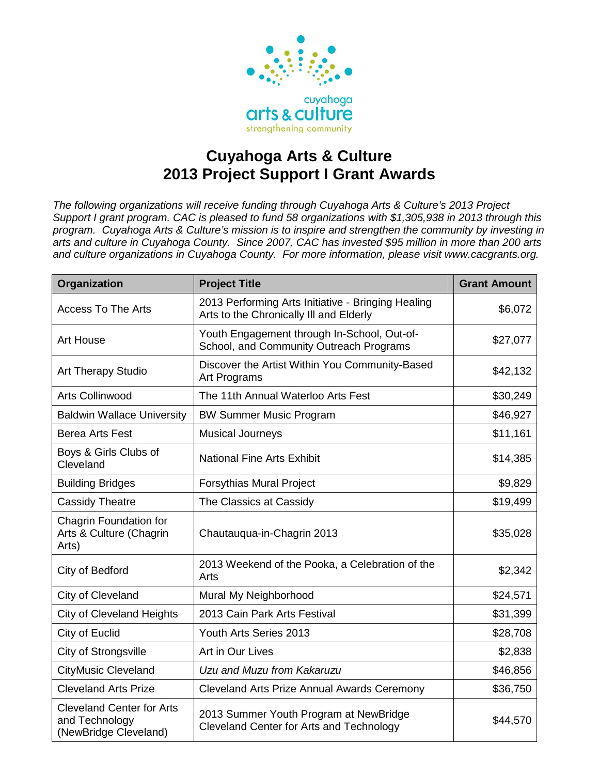

## **Cuyahoga Arts & Culture 2013 Project Support I Grant Awards**

*The following organizations will receive funding through Cuyahoga Arts & Culture's 2013 Project Support I grant program. CAC is pleased to fund 58 organizations with \$1,305,938 in 2013 through this program. Cuyahoga Arts & Culture's mission is to inspire and strengthen the community by investing in arts and culture in Cuyahoga County. Since 2007, CAC has invested \$95 million in more than 200 arts and culture organizations in Cuyahoga County. For more information, please visit www.cacgrants.org.*

| Organization                                                                | <b>Project Title</b>                                                                          | <b>Grant Amount</b> |
|-----------------------------------------------------------------------------|-----------------------------------------------------------------------------------------------|---------------------|
| <b>Access To The Arts</b>                                                   | 2013 Performing Arts Initiative - Bringing Healing<br>Arts to the Chronically III and Elderly | \$6,072             |
| <b>Art House</b>                                                            | Youth Engagement through In-School, Out-of-<br>School, and Community Outreach Programs        | \$27,077            |
| <b>Art Therapy Studio</b>                                                   | Discover the Artist Within You Community-Based<br>Art Programs                                | \$42,132            |
| <b>Arts Collinwood</b>                                                      | The 11th Annual Waterloo Arts Fest                                                            | \$30,249            |
| <b>Baldwin Wallace University</b>                                           | <b>BW Summer Music Program</b>                                                                | \$46,927            |
| Berea Arts Fest                                                             | <b>Musical Journeys</b>                                                                       | \$11,161            |
| Boys & Girls Clubs of<br>Cleveland                                          | <b>National Fine Arts Exhibit</b>                                                             | \$14,385            |
| <b>Building Bridges</b>                                                     | <b>Forsythias Mural Project</b>                                                               | \$9,829             |
| <b>Cassidy Theatre</b>                                                      | The Classics at Cassidy                                                                       | \$19,499            |
| Chagrin Foundation for<br>Arts & Culture (Chagrin<br>Arts)                  | Chautauqua-in-Chagrin 2013                                                                    | \$35,028            |
| City of Bedford                                                             | 2013 Weekend of the Pooka, a Celebration of the<br>Arts                                       | \$2,342             |
| City of Cleveland                                                           | Mural My Neighborhood                                                                         | \$24,571            |
| <b>City of Cleveland Heights</b>                                            | 2013 Cain Park Arts Festival                                                                  | \$31,399            |
| City of Euclid                                                              | Youth Arts Series 2013                                                                        | \$28,708            |
| <b>City of Strongsville</b>                                                 | Art in Our Lives                                                                              | \$2,838             |
| <b>CityMusic Cleveland</b>                                                  | Uzu and Muzu from Kakaruzu                                                                    | \$46,856            |
| <b>Cleveland Arts Prize</b>                                                 | Cleveland Arts Prize Annual Awards Ceremony                                                   | \$36,750            |
| <b>Cleveland Center for Arts</b><br>and Technology<br>(NewBridge Cleveland) | 2013 Summer Youth Program at NewBridge<br>Cleveland Center for Arts and Technology            | \$44,570            |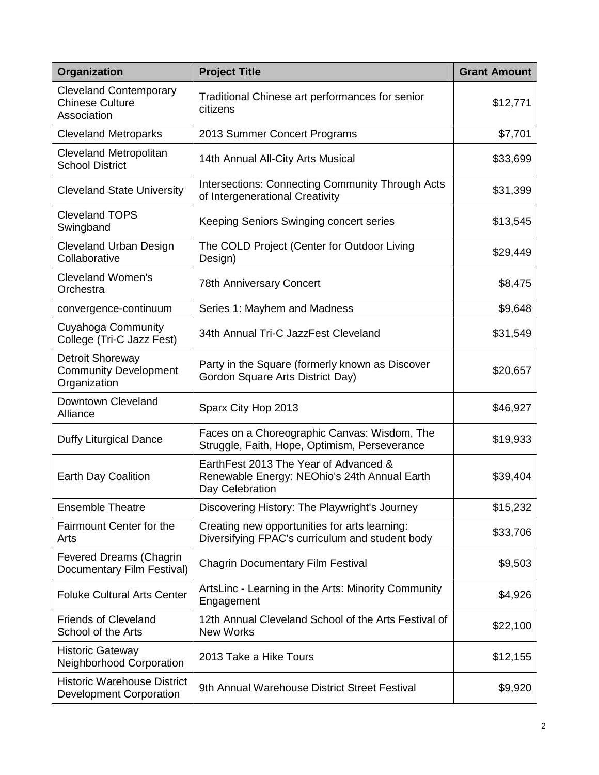| <b>Organization</b>                                                     | <b>Project Title</b>                                                                                     | <b>Grant Amount</b> |
|-------------------------------------------------------------------------|----------------------------------------------------------------------------------------------------------|---------------------|
| <b>Cleveland Contemporary</b><br><b>Chinese Culture</b><br>Association  | Traditional Chinese art performances for senior<br>citizens                                              | \$12,771            |
| <b>Cleveland Metroparks</b>                                             | 2013 Summer Concert Programs                                                                             | \$7,701             |
| <b>Cleveland Metropolitan</b><br><b>School District</b>                 | 14th Annual All-City Arts Musical                                                                        | \$33,699            |
| <b>Cleveland State University</b>                                       | <b>Intersections: Connecting Community Through Acts</b><br>of Intergenerational Creativity               | \$31,399            |
| <b>Cleveland TOPS</b><br>Swingband                                      | Keeping Seniors Swinging concert series                                                                  | \$13,545            |
| <b>Cleveland Urban Design</b><br>Collaborative                          | The COLD Project (Center for Outdoor Living<br>Design)                                                   | \$29,449            |
| <b>Cleveland Women's</b><br>Orchestra                                   | <b>78th Anniversary Concert</b>                                                                          | \$8,475             |
| convergence-continuum                                                   | Series 1: Mayhem and Madness                                                                             | \$9,648             |
| Cuyahoga Community<br>College (Tri-C Jazz Fest)                         | 34th Annual Tri-C JazzFest Cleveland                                                                     | \$31,549            |
| <b>Detroit Shoreway</b><br><b>Community Development</b><br>Organization | Party in the Square (formerly known as Discover<br>Gordon Square Arts District Day)                      | \$20,657            |
| Downtown Cleveland<br>Alliance                                          | Sparx City Hop 2013                                                                                      | \$46,927            |
| <b>Duffy Liturgical Dance</b>                                           | Faces on a Choreographic Canvas: Wisdom, The<br>Struggle, Faith, Hope, Optimism, Perseverance            | \$19,933            |
| Earth Day Coalition                                                     | EarthFest 2013 The Year of Advanced &<br>Renewable Energy: NEOhio's 24th Annual Earth<br>Day Celebration | \$39,404            |
| <b>Ensemble Theatre</b>                                                 | Discovering History: The Playwright's Journey                                                            | \$15,232            |
| Fairmount Center for the<br>Arts                                        | Creating new opportunities for arts learning:<br>Diversifying FPAC's curriculum and student body         | \$33,706            |
| <b>Fevered Dreams (Chagrin</b><br>Documentary Film Festival)            | <b>Chagrin Documentary Film Festival</b>                                                                 | \$9,503             |
| <b>Foluke Cultural Arts Center</b>                                      | ArtsLinc - Learning in the Arts: Minority Community<br>Engagement                                        | \$4,926             |
| <b>Friends of Cleveland</b><br>School of the Arts                       | 12th Annual Cleveland School of the Arts Festival of<br><b>New Works</b>                                 | \$22,100            |
| <b>Historic Gateway</b><br>Neighborhood Corporation                     | 2013 Take a Hike Tours                                                                                   | \$12,155            |
| <b>Historic Warehouse District</b><br><b>Development Corporation</b>    | 9th Annual Warehouse District Street Festival                                                            | \$9,920             |